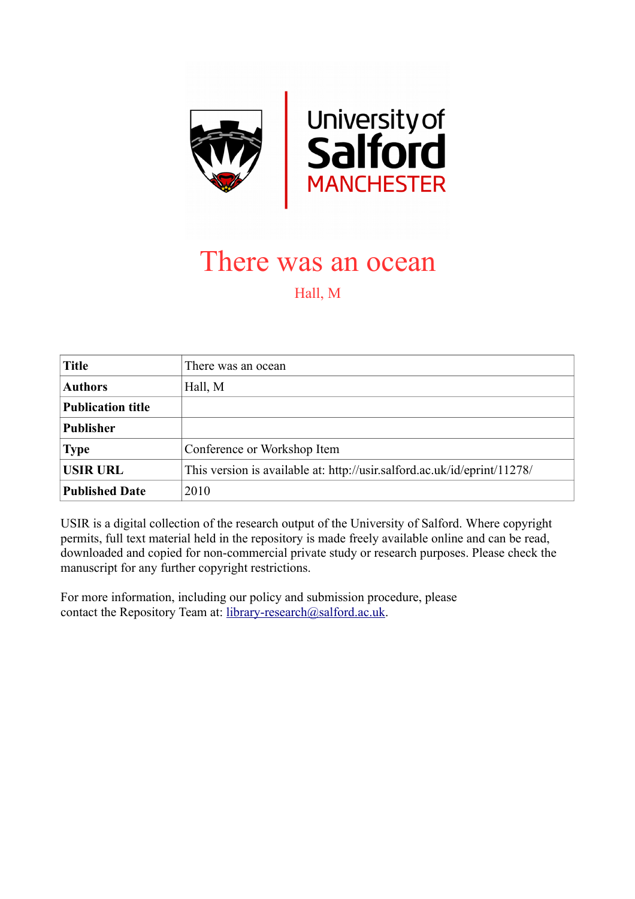

# There was an ocean Hall, M

| <b>Title</b>             | There was an ocean                                                       |  |
|--------------------------|--------------------------------------------------------------------------|--|
| <b>Authors</b>           | Hall, M                                                                  |  |
| <b>Publication title</b> |                                                                          |  |
| <b>Publisher</b>         |                                                                          |  |
| <b>Type</b>              | Conference or Workshop Item                                              |  |
| <b>USIR URL</b>          | This version is available at: http://usir.salford.ac.uk/id/eprint/11278/ |  |
| <b>Published Date</b>    | 2010                                                                     |  |

USIR is a digital collection of the research output of the University of Salford. Where copyright permits, full text material held in the repository is made freely available online and can be read, downloaded and copied for non-commercial private study or research purposes. Please check the manuscript for any further copyright restrictions.

For more information, including our policy and submission procedure, please contact the Repository Team at: [library-research@salford.ac.uk.](mailto:library-research@salford.ac.uk)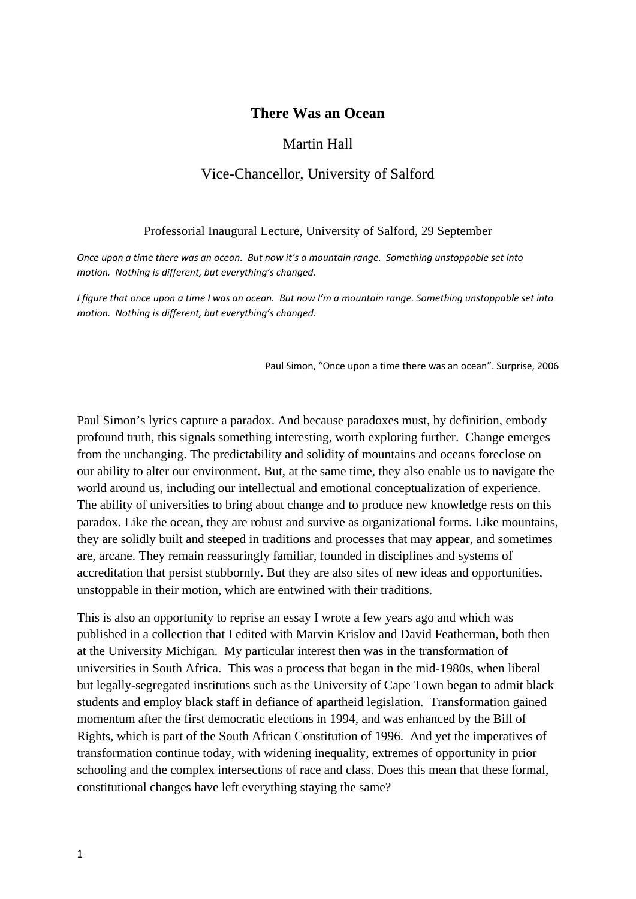## **There Was an Ocean**

#### Martin Hall

#### Vice-Chancellor, University of Salford

Professorial Inaugural Lecture, University of Salford, 29 September

Once upon a time there was an ocean. But now it's a mountain range. Something unstoppable set into *motion. Nothing is different, but everything's changed.*

I figure that once upon a time I was an ocean. But now I'm a mountain range. Something unstoppable set into *motion. Nothing is different, but everything's changed.*

Paul Simon, "Once upon a time there was an ocean". Surprise, 2006

Paul Simon's lyrics capture a paradox. And because paradoxes must, by definition, embody profound truth, this signals something interesting, worth exploring further. Change emerges from the unchanging. The predictability and solidity of mountains and oceans foreclose on our ability to alter our environment. But, at the same time, they also enable us to navigate the world around us, including our intellectual and emotional conceptualization of experience. The ability of universities to bring about change and to produce new knowledge rests on this paradox. Like the ocean, they are robust and survive as organizational forms. Like mountains, they are solidly built and steeped in traditions and processes that may appear, and sometimes are, arcane. They remain reassuringly familiar, founded in disciplines and systems of accreditation that persist stubbornly. But they are also sites of new ideas and opportunities, unstoppable in their motion, which are entwined with their traditions.

This is also an opportunity to reprise an essay I wrote a few years ago and which was published in a collection that I edited with Marvin Krislov and David Featherman, both then at the University Michigan. My particular interest then was in the transformation of universities in South Africa. This was a process that began in the mid-1980s, when liberal but legally-segregated institutions such as the University of Cape Town began to admit black students and employ black staff in defiance of apartheid legislation. Transformation gained momentum after the first democratic elections in 1994, and was enhanced by the Bill of Rights, which is part of the South African Constitution of 1996. And yet the imperatives of transformation continue today, with widening inequality, extremes of opportunity in prior schooling and the complex intersections of race and class. Does this mean that these formal, constitutional changes have left everything staying the same?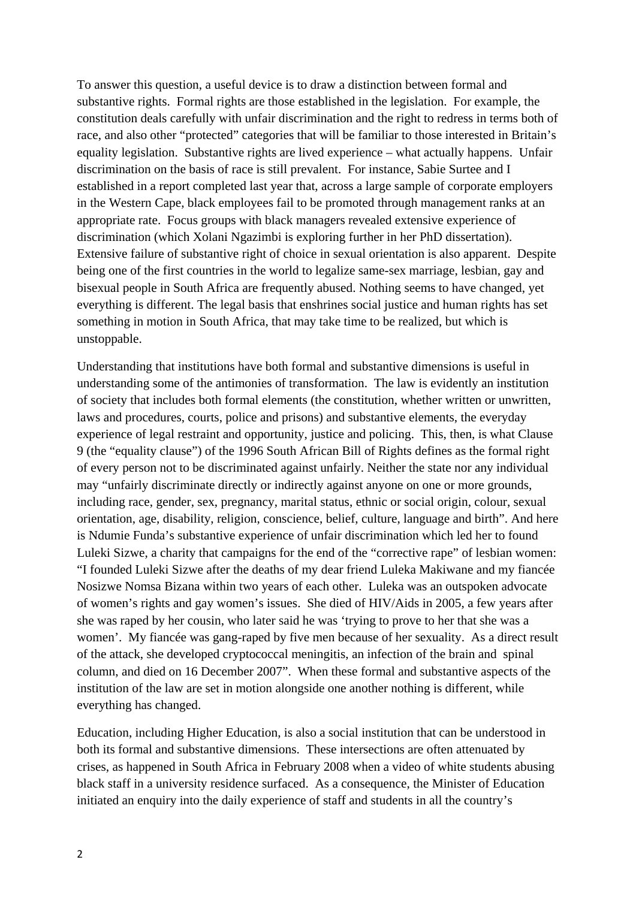To answer this question, a useful device is to draw a distinction between formal and substantive rights. Formal rights are those established in the legislation. For example, the constitution deals carefully with unfair discrimination and the right to redress in terms both of race, and also other "protected" categories that will be familiar to those interested in Britain's equality legislation. Substantive rights are lived experience – what actually happens. Unfair discrimination on the basis of race is still prevalent. For instance, Sabie Surtee and I established in a report completed last year that, across a large sample of corporate employers in the Western Cape, black employees fail to be promoted through management ranks at an appropriate rate. Focus groups with black managers revealed extensive experience of discrimination (which Xolani Ngazimbi is exploring further in her PhD dissertation). Extensive failure of substantive right of choice in sexual orientation is also apparent. Despite being one of the first countries in the world to legalize same-sex marriage, lesbian, gay and bisexual people in South Africa are frequently abused. Nothing seems to have changed, yet everything is different. The legal basis that enshrines social justice and human rights has set something in motion in South Africa, that may take time to be realized, but which is unstoppable.

Understanding that institutions have both formal and substantive dimensions is useful in understanding some of the antimonies of transformation. The law is evidently an institution of society that includes both formal elements (the constitution, whether written or unwritten, laws and procedures, courts, police and prisons) and substantive elements, the everyday experience of legal restraint and opportunity, justice and policing. This, then, is what Clause 9 (the "equality clause") of the 1996 South African Bill of Rights defines as the formal right of every person not to be discriminated against unfairly. Neither the state nor any individual may "unfairly discriminate directly or indirectly against anyone on one or more grounds, including race, gender, sex, pregnancy, marital status, ethnic or social origin, colour, sexual orientation, age, disability, religion, conscience, belief, culture, language and birth". And here is Ndumie Funda's substantive experience of unfair discrimination which led her to found Luleki Sizwe, a charity that campaigns for the end of the "corrective rape" of lesbian women: "I founded Luleki Sizwe after the deaths of my dear friend Luleka Makiwane and my fiancée Nosizwe Nomsa Bizana within two years of each other. Luleka was an outspoken advocate of women's rights and gay women's issues. She died of HIV/Aids in 2005, a few years after she was raped by her cousin, who later said he was 'trying to prove to her that she was a women'. My fiancée was gang-raped by five men because of her sexuality. As a direct result of the attack, she developed cryptococcal meningitis, an infection of the brain and spinal column, and died on 16 December 2007". When these formal and substantive aspects of the institution of the law are set in motion alongside one another nothing is different, while everything has changed.

Education, including Higher Education, is also a social institution that can be understood in both its formal and substantive dimensions. These intersections are often attenuated by crises, as happened in South Africa in February 2008 when a video of white students abusing black staff in a university residence surfaced. As a consequence, the Minister of Education initiated an enquiry into the daily experience of staff and students in all the country's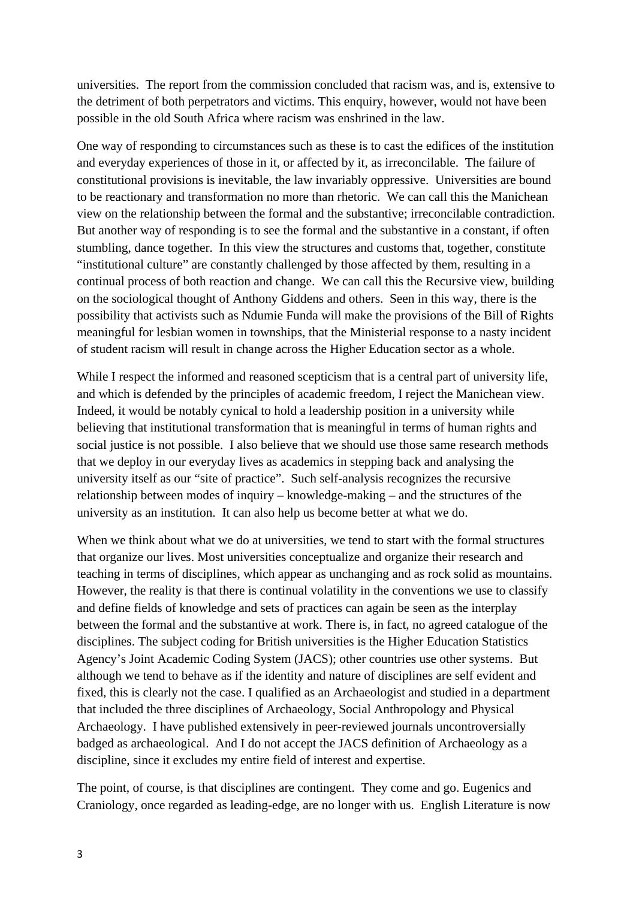universities. The report from the commission concluded that racism was, and is, extensive to the detriment of both perpetrators and victims. This enquiry, however, would not have been possible in the old South Africa where racism was enshrined in the law.

One way of responding to circumstances such as these is to cast the edifices of the institution and everyday experiences of those in it, or affected by it, as irreconcilable. The failure of constitutional provisions is inevitable, the law invariably oppressive. Universities are bound to be reactionary and transformation no more than rhetoric. We can call this the Manichean view on the relationship between the formal and the substantive; irreconcilable contradiction. But another way of responding is to see the formal and the substantive in a constant, if often stumbling, dance together. In this view the structures and customs that, together, constitute "institutional culture" are constantly challenged by those affected by them, resulting in a continual process of both reaction and change. We can call this the Recursive view, building on the sociological thought of Anthony Giddens and others. Seen in this way, there is the possibility that activists such as Ndumie Funda will make the provisions of the Bill of Rights meaningful for lesbian women in townships, that the Ministerial response to a nasty incident of student racism will result in change across the Higher Education sector as a whole.

While I respect the informed and reasoned scepticism that is a central part of university life, and which is defended by the principles of academic freedom, I reject the Manichean view. Indeed, it would be notably cynical to hold a leadership position in a university while believing that institutional transformation that is meaningful in terms of human rights and social justice is not possible. I also believe that we should use those same research methods that we deploy in our everyday lives as academics in stepping back and analysing the university itself as our "site of practice". Such self-analysis recognizes the recursive relationship between modes of inquiry – knowledge-making – and the structures of the university as an institution. It can also help us become better at what we do.

When we think about what we do at universities, we tend to start with the formal structures that organize our lives. Most universities conceptualize and organize their research and teaching in terms of disciplines, which appear as unchanging and as rock solid as mountains. However, the reality is that there is continual volatility in the conventions we use to classify and define fields of knowledge and sets of practices can again be seen as the interplay between the formal and the substantive at work. There is, in fact, no agreed catalogue of the disciplines. The subject coding for British universities is the Higher Education Statistics Agency's Joint Academic Coding System (JACS); other countries use other systems. But although we tend to behave as if the identity and nature of disciplines are self evident and fixed, this is clearly not the case. I qualified as an Archaeologist and studied in a department that included the three disciplines of Archaeology, Social Anthropology and Physical Archaeology. I have published extensively in peer-reviewed journals uncontroversially badged as archaeological. And I do not accept the JACS definition of Archaeology as a discipline, since it excludes my entire field of interest and expertise.

The point, of course, is that disciplines are contingent. They come and go. Eugenics and Craniology, once regarded as leading-edge, are no longer with us. English Literature is now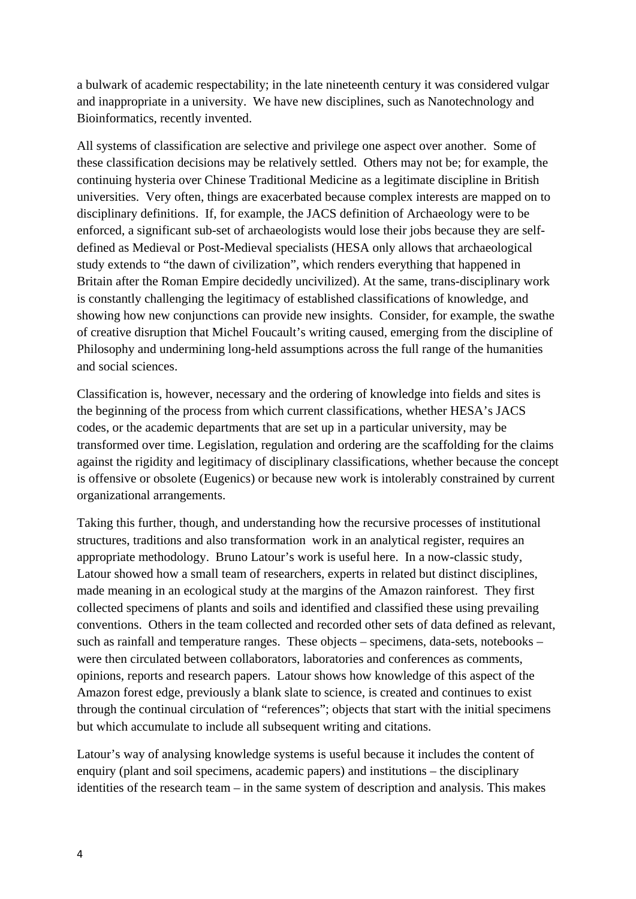a bulwark of academic respectability; in the late nineteenth century it was considered vulgar and inappropriate in a university. We have new disciplines, such as Nanotechnology and Bioinformatics, recently invented.

All systems of classification are selective and privilege one aspect over another. Some of these classification decisions may be relatively settled. Others may not be; for example, the continuing hysteria over Chinese Traditional Medicine as a legitimate discipline in British universities. Very often, things are exacerbated because complex interests are mapped on to disciplinary definitions. If, for example, the JACS definition of Archaeology were to be enforced, a significant sub-set of archaeologists would lose their jobs because they are selfdefined as Medieval or Post-Medieval specialists (HESA only allows that archaeological study extends to "the dawn of civilization", which renders everything that happened in Britain after the Roman Empire decidedly uncivilized). At the same, trans-disciplinary work is constantly challenging the legitimacy of established classifications of knowledge, and showing how new conjunctions can provide new insights. Consider, for example, the swathe of creative disruption that Michel Foucault's writing caused, emerging from the discipline of Philosophy and undermining long-held assumptions across the full range of the humanities and social sciences.

Classification is, however, necessary and the ordering of knowledge into fields and sites is the beginning of the process from which current classifications, whether HESA's JACS codes, or the academic departments that are set up in a particular university, may be transformed over time. Legislation, regulation and ordering are the scaffolding for the claims against the rigidity and legitimacy of disciplinary classifications, whether because the concept is offensive or obsolete (Eugenics) or because new work is intolerably constrained by current organizational arrangements.

Taking this further, though, and understanding how the recursive processes of institutional structures, traditions and also transformation work in an analytical register, requires an appropriate methodology. Bruno Latour's work is useful here. In a now-classic study, Latour showed how a small team of researchers, experts in related but distinct disciplines, made meaning in an ecological study at the margins of the Amazon rainforest. They first collected specimens of plants and soils and identified and classified these using prevailing conventions. Others in the team collected and recorded other sets of data defined as relevant, such as rainfall and temperature ranges. These objects – specimens, data-sets, notebooks – were then circulated between collaborators, laboratories and conferences as comments, opinions, reports and research papers. Latour shows how knowledge of this aspect of the Amazon forest edge, previously a blank slate to science, is created and continues to exist through the continual circulation of "references"; objects that start with the initial specimens but which accumulate to include all subsequent writing and citations.

Latour's way of analysing knowledge systems is useful because it includes the content of enquiry (plant and soil specimens, academic papers) and institutions – the disciplinary identities of the research team – in the same system of description and analysis. This makes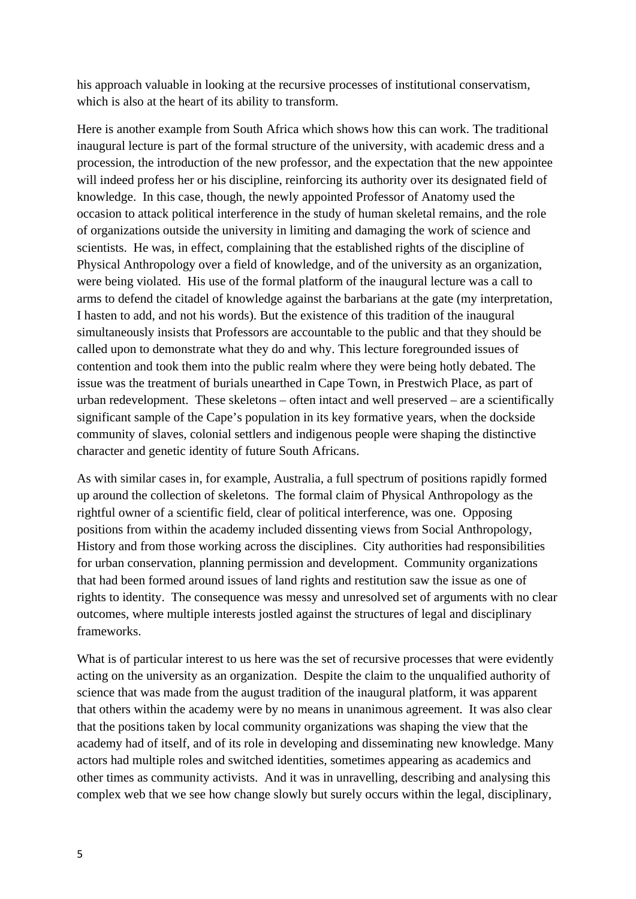his approach valuable in looking at the recursive processes of institutional conservatism, which is also at the heart of its ability to transform.

Here is another example from South Africa which shows how this can work. The traditional inaugural lecture is part of the formal structure of the university, with academic dress and a procession, the introduction of the new professor, and the expectation that the new appointee will indeed profess her or his discipline, reinforcing its authority over its designated field of knowledge. In this case, though, the newly appointed Professor of Anatomy used the occasion to attack political interference in the study of human skeletal remains, and the role of organizations outside the university in limiting and damaging the work of science and scientists. He was, in effect, complaining that the established rights of the discipline of Physical Anthropology over a field of knowledge, and of the university as an organization, were being violated. His use of the formal platform of the inaugural lecture was a call to arms to defend the citadel of knowledge against the barbarians at the gate (my interpretation, I hasten to add, and not his words). But the existence of this tradition of the inaugural simultaneously insists that Professors are accountable to the public and that they should be called upon to demonstrate what they do and why. This lecture foregrounded issues of contention and took them into the public realm where they were being hotly debated. The issue was the treatment of burials unearthed in Cape Town, in Prestwich Place, as part of urban redevelopment. These skeletons – often intact and well preserved – are a scientifically significant sample of the Cape's population in its key formative years, when the dockside community of slaves, colonial settlers and indigenous people were shaping the distinctive character and genetic identity of future South Africans.

As with similar cases in, for example, Australia, a full spectrum of positions rapidly formed up around the collection of skeletons. The formal claim of Physical Anthropology as the rightful owner of a scientific field, clear of political interference, was one. Opposing positions from within the academy included dissenting views from Social Anthropology, History and from those working across the disciplines. City authorities had responsibilities for urban conservation, planning permission and development. Community organizations that had been formed around issues of land rights and restitution saw the issue as one of rights to identity. The consequence was messy and unresolved set of arguments with no clear outcomes, where multiple interests jostled against the structures of legal and disciplinary frameworks.

What is of particular interest to us here was the set of recursive processes that were evidently acting on the university as an organization. Despite the claim to the unqualified authority of science that was made from the august tradition of the inaugural platform, it was apparent that others within the academy were by no means in unanimous agreement. It was also clear that the positions taken by local community organizations was shaping the view that the academy had of itself, and of its role in developing and disseminating new knowledge. Many actors had multiple roles and switched identities, sometimes appearing as academics and other times as community activists. And it was in unravelling, describing and analysing this complex web that we see how change slowly but surely occurs within the legal, disciplinary,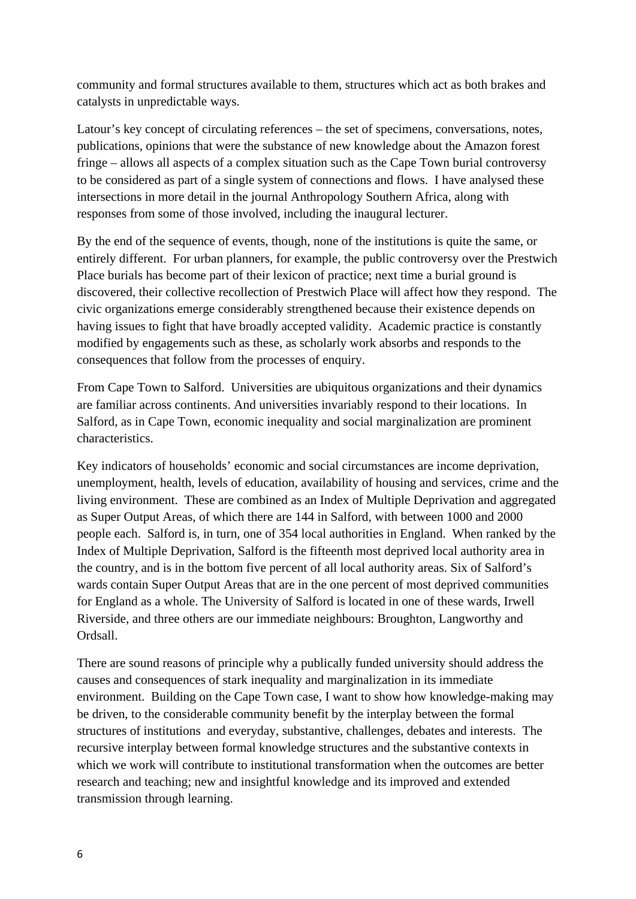community and formal structures available to them, structures which act as both brakes and catalysts in unpredictable ways.

Latour's key concept of circulating references – the set of specimens, conversations, notes, publications, opinions that were the substance of new knowledge about the Amazon forest fringe – allows all aspects of a complex situation such as the Cape Town burial controversy to be considered as part of a single system of connections and flows. I have analysed these intersections in more detail in the journal Anthropology Southern Africa, along with responses from some of those involved, including the inaugural lecturer.

By the end of the sequence of events, though, none of the institutions is quite the same, or entirely different. For urban planners, for example, the public controversy over the Prestwich Place burials has become part of their lexicon of practice; next time a burial ground is discovered, their collective recollection of Prestwich Place will affect how they respond. The civic organizations emerge considerably strengthened because their existence depends on having issues to fight that have broadly accepted validity. Academic practice is constantly modified by engagements such as these, as scholarly work absorbs and responds to the consequences that follow from the processes of enquiry.

From Cape Town to Salford. Universities are ubiquitous organizations and their dynamics are familiar across continents. And universities invariably respond to their locations. In Salford, as in Cape Town, economic inequality and social marginalization are prominent characteristics.

Key indicators of households' economic and social circumstances are income deprivation, unemployment, health, levels of education, availability of housing and services, crime and the living environment. These are combined as an Index of Multiple Deprivation and aggregated as Super Output Areas, of which there are 144 in Salford, with between 1000 and 2000 people each. Salford is, in turn, one of 354 local authorities in England. When ranked by the Index of Multiple Deprivation, Salford is the fifteenth most deprived local authority area in the country, and is in the bottom five percent of all local authority areas. Six of Salford's wards contain Super Output Areas that are in the one percent of most deprived communities for England as a whole. The University of Salford is located in one of these wards, Irwell Riverside, and three others are our immediate neighbours: Broughton, Langworthy and Ordsall.

There are sound reasons of principle why a publically funded university should address the causes and consequences of stark inequality and marginalization in its immediate environment. Building on the Cape Town case, I want to show how knowledge-making may be driven, to the considerable community benefit by the interplay between the formal structures of institutions and everyday, substantive, challenges, debates and interests. The recursive interplay between formal knowledge structures and the substantive contexts in which we work will contribute to institutional transformation when the outcomes are better research and teaching; new and insightful knowledge and its improved and extended transmission through learning.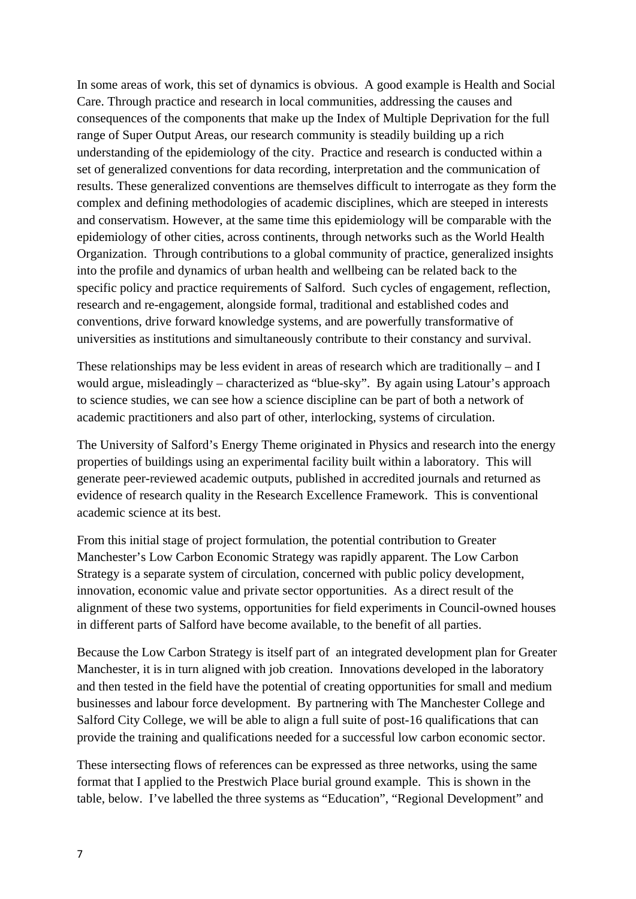In some areas of work, this set of dynamics is obvious. A good example is Health and Social Care. Through practice and research in local communities, addressing the causes and consequences of the components that make up the Index of Multiple Deprivation for the full range of Super Output Areas, our research community is steadily building up a rich understanding of the epidemiology of the city. Practice and research is conducted within a set of generalized conventions for data recording, interpretation and the communication of results. These generalized conventions are themselves difficult to interrogate as they form the complex and defining methodologies of academic disciplines, which are steeped in interests and conservatism. However, at the same time this epidemiology will be comparable with the epidemiology of other cities, across continents, through networks such as the World Health Organization. Through contributions to a global community of practice, generalized insights into the profile and dynamics of urban health and wellbeing can be related back to the specific policy and practice requirements of Salford. Such cycles of engagement, reflection, research and re-engagement, alongside formal, traditional and established codes and conventions, drive forward knowledge systems, and are powerfully transformative of universities as institutions and simultaneously contribute to their constancy and survival.

These relationships may be less evident in areas of research which are traditionally – and I would argue, misleadingly – characterized as "blue-sky". By again using Latour's approach to science studies, we can see how a science discipline can be part of both a network of academic practitioners and also part of other, interlocking, systems of circulation.

The University of Salford's Energy Theme originated in Physics and research into the energy properties of buildings using an experimental facility built within a laboratory. This will generate peer-reviewed academic outputs, published in accredited journals and returned as evidence of research quality in the Research Excellence Framework. This is conventional academic science at its best.

From this initial stage of project formulation, the potential contribution to Greater Manchester's Low Carbon Economic Strategy was rapidly apparent. The Low Carbon Strategy is a separate system of circulation, concerned with public policy development, innovation, economic value and private sector opportunities. As a direct result of the alignment of these two systems, opportunities for field experiments in Council-owned houses in different parts of Salford have become available, to the benefit of all parties.

Because the Low Carbon Strategy is itself part of an integrated development plan for Greater Manchester, it is in turn aligned with job creation. Innovations developed in the laboratory and then tested in the field have the potential of creating opportunities for small and medium businesses and labour force development. By partnering with The Manchester College and Salford City College, we will be able to align a full suite of post-16 qualifications that can provide the training and qualifications needed for a successful low carbon economic sector.

These intersecting flows of references can be expressed as three networks, using the same format that I applied to the Prestwich Place burial ground example. This is shown in the table, below. I've labelled the three systems as "Education", "Regional Development" and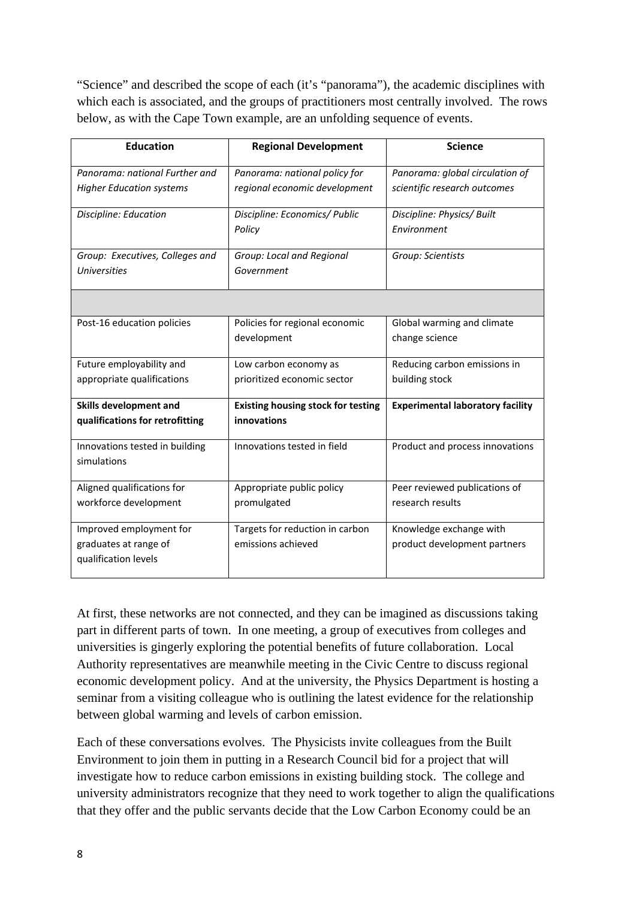"Science" and described the scope of each (it's "panorama"), the academic disciplines with which each is associated, and the groups of practitioners most centrally involved. The rows below, as with the Cape Town example, are an unfolding sequence of events.

| <b>Education</b>                | <b>Regional Development</b>               | <b>Science</b>                            |
|---------------------------------|-------------------------------------------|-------------------------------------------|
| Panorama: national Further and  | Panorama: national policy for             | Panorama: global circulation of           |
| <b>Higher Education systems</b> | regional economic development             | scientific research outcomes              |
| Discipline: Education           | Discipline: Economics/ Public<br>Policy   | Discipline: Physics/ Built<br>Environment |
|                                 |                                           |                                           |
| Group: Executives, Colleges and | Group: Local and Regional                 | Group: Scientists                         |
| <b>Universities</b>             | Government                                |                                           |
|                                 |                                           |                                           |
| Post-16 education policies      | Policies for regional economic            | Global warming and climate                |
|                                 | development                               | change science                            |
| Future employability and        | Low carbon economy as                     | Reducing carbon emissions in              |
| appropriate qualifications      | prioritized economic sector               | building stock                            |
| Skills development and          | <b>Existing housing stock for testing</b> | <b>Experimental laboratory facility</b>   |
| qualifications for retrofitting | innovations                               |                                           |
| Innovations tested in building  | Innovations tested in field               | Product and process innovations           |
| simulations                     |                                           |                                           |
| Aligned qualifications for      | Appropriate public policy                 | Peer reviewed publications of             |
| workforce development           | promulgated                               | research results                          |
| Improved employment for         | Targets for reduction in carbon           | Knowledge exchange with                   |
| graduates at range of           | emissions achieved                        | product development partners              |
| qualification levels            |                                           |                                           |
|                                 |                                           |                                           |

At first, these networks are not connected, and they can be imagined as discussions taking part in different parts of town. In one meeting, a group of executives from colleges and universities is gingerly exploring the potential benefits of future collaboration. Local Authority representatives are meanwhile meeting in the Civic Centre to discuss regional economic development policy. And at the university, the Physics Department is hosting a seminar from a visiting colleague who is outlining the latest evidence for the relationship between global warming and levels of carbon emission.

Each of these conversations evolves. The Physicists invite colleagues from the Built Environment to join them in putting in a Research Council bid for a project that will investigate how to reduce carbon emissions in existing building stock. The college and university administrators recognize that they need to work together to align the qualifications that they offer and the public servants decide that the Low Carbon Economy could be an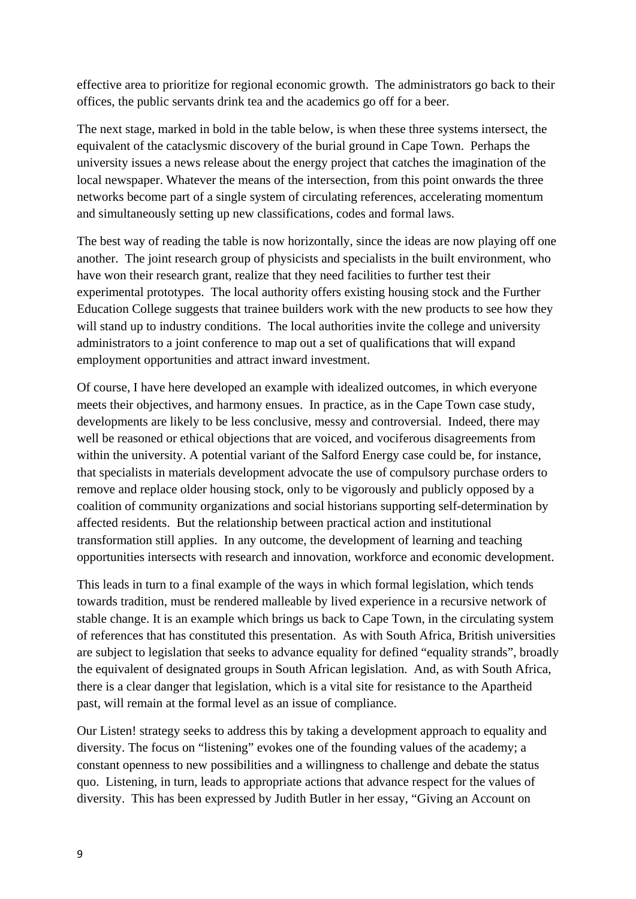effective area to prioritize for regional economic growth. The administrators go back to their offices, the public servants drink tea and the academics go off for a beer.

The next stage, marked in bold in the table below, is when these three systems intersect, the equivalent of the cataclysmic discovery of the burial ground in Cape Town. Perhaps the university issues a news release about the energy project that catches the imagination of the local newspaper. Whatever the means of the intersection, from this point onwards the three networks become part of a single system of circulating references, accelerating momentum and simultaneously setting up new classifications, codes and formal laws.

The best way of reading the table is now horizontally, since the ideas are now playing off one another. The joint research group of physicists and specialists in the built environment, who have won their research grant, realize that they need facilities to further test their experimental prototypes. The local authority offers existing housing stock and the Further Education College suggests that trainee builders work with the new products to see how they will stand up to industry conditions. The local authorities invite the college and university administrators to a joint conference to map out a set of qualifications that will expand employment opportunities and attract inward investment.

Of course, I have here developed an example with idealized outcomes, in which everyone meets their objectives, and harmony ensues. In practice, as in the Cape Town case study, developments are likely to be less conclusive, messy and controversial. Indeed, there may well be reasoned or ethical objections that are voiced, and vociferous disagreements from within the university. A potential variant of the Salford Energy case could be, for instance, that specialists in materials development advocate the use of compulsory purchase orders to remove and replace older housing stock, only to be vigorously and publicly opposed by a coalition of community organizations and social historians supporting self-determination by affected residents. But the relationship between practical action and institutional transformation still applies. In any outcome, the development of learning and teaching opportunities intersects with research and innovation, workforce and economic development.

This leads in turn to a final example of the ways in which formal legislation, which tends towards tradition, must be rendered malleable by lived experience in a recursive network of stable change. It is an example which brings us back to Cape Town, in the circulating system of references that has constituted this presentation. As with South Africa, British universities are subject to legislation that seeks to advance equality for defined "equality strands", broadly the equivalent of designated groups in South African legislation. And, as with South Africa, there is a clear danger that legislation, which is a vital site for resistance to the Apartheid past, will remain at the formal level as an issue of compliance.

Our Listen! strategy seeks to address this by taking a development approach to equality and diversity. The focus on "listening" evokes one of the founding values of the academy; a constant openness to new possibilities and a willingness to challenge and debate the status quo. Listening, in turn, leads to appropriate actions that advance respect for the values of diversity. This has been expressed by Judith Butler in her essay, "Giving an Account on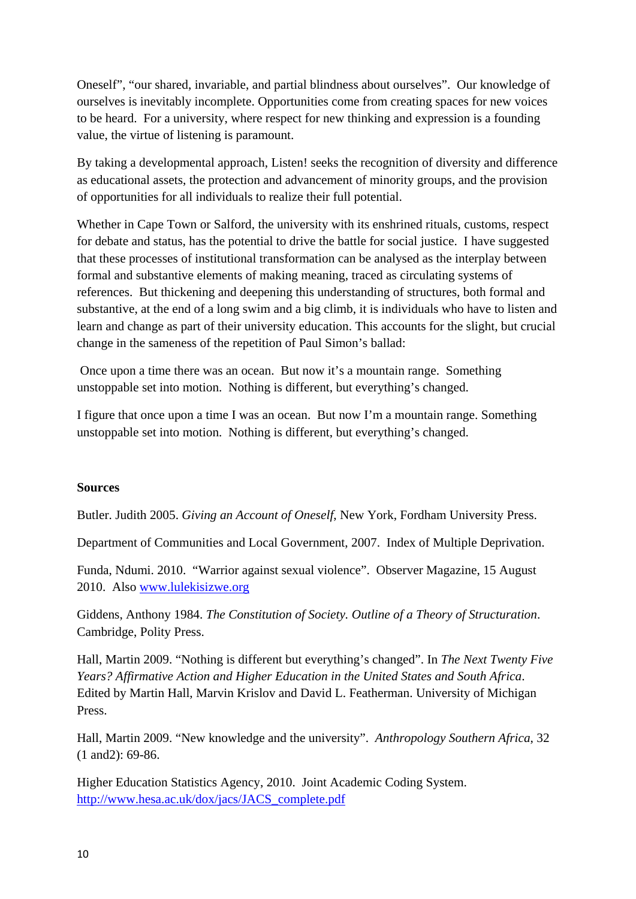Oneself", "our shared, invariable, and partial blindness about ourselves". Our knowledge of ourselves is inevitably incomplete. Opportunities come from creating spaces for new voices to be heard. For a university, where respect for new thinking and expression is a founding value, the virtue of listening is paramount.

By taking a developmental approach, Listen! seeks the recognition of diversity and difference as educational assets, the protection and advancement of minority groups, and the provision of opportunities for all individuals to realize their full potential.

Whether in Cape Town or Salford, the university with its enshrined rituals, customs, respect for debate and status, has the potential to drive the battle for social justice. I have suggested that these processes of institutional transformation can be analysed as the interplay between formal and substantive elements of making meaning, traced as circulating systems of references. But thickening and deepening this understanding of structures, both formal and substantive, at the end of a long swim and a big climb, it is individuals who have to listen and learn and change as part of their university education. This accounts for the slight, but crucial change in the sameness of the repetition of Paul Simon's ballad:

 Once upon a time there was an ocean. But now it's a mountain range. Something unstoppable set into motion. Nothing is different, but everything's changed.

I figure that once upon a time I was an ocean. But now I'm a mountain range. Something unstoppable set into motion. Nothing is different, but everything's changed.

### **Sources**

Butler. Judith 2005. *Giving an Account of Oneself*, New York, Fordham University Press.

Department of Communities and Local Government, 2007. Index of Multiple Deprivation.

Funda, Ndumi. 2010. "Warrior against sexual violence". Observer Magazine, 15 August 2010. Also www.lulekisizwe.org

Giddens, Anthony 1984. *The Constitution of Society. Outline of a Theory of Structuration*. Cambridge, Polity Press.

Hall, Martin 2009. "Nothing is different but everything's changed". In *The Next Twenty Five Years? Affirmative Action and Higher Education in the United States and South Africa*. Edited by Martin Hall, Marvin Krislov and David L. Featherman. University of Michigan Press.

Hall, Martin 2009. "New knowledge and the university". *Anthropology Southern Africa*, 32 (1 and2): 69-86.

Higher Education Statistics Agency, 2010. Joint Academic Coding System. http://www.hesa.ac.uk/dox/jacs/JACS\_complete.pdf